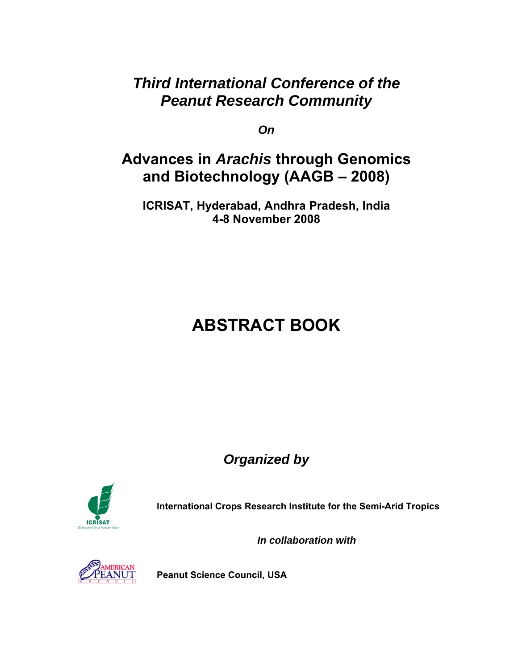### *Third International Conference of the Peanut Research Community*

*On* 

## **Advances in** *Arachis* **through Genomics and Biotechnology (AAGB – 2008)**

**ICRISAT, Hyderabad, Andhra Pradesh, India 4-8 November 2008** 

# **ABSTRACT BOOK**

*Organized by* 



**International Crops Research Institute for the Semi-Arid Tropics**

*In collaboration with*



**Peanut Science Council, USA**